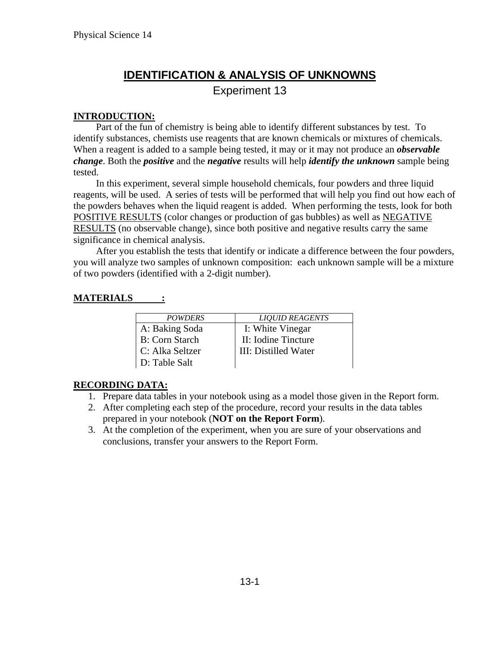# **IDENTIFICATION & ANALYSIS OF UNKNOWNS**

Experiment 13

### **INTRODUCTION:**

Part of the fun of chemistry is being able to identify different substances by test. To identify substances, chemists use reagents that are known chemicals or mixtures of chemicals. When a reagent is added to a sample being tested, it may or it may not produce an *observable change*. Both the *positive* and the *negative* results will help *identify the unknown* sample being tested.

In this experiment, several simple household chemicals, four powders and three liquid reagents, will be used. A series of tests will be performed that will help you find out how each of the powders behaves when the liquid reagent is added. When performing the tests, look for both POSITIVE RESULTS (color changes or production of gas bubbles) as well as NEGATIVE RESULTS (no observable change), since both positive and negative results carry the same significance in chemical analysis.

After you establish the tests that identify or indicate a difference between the four powders, you will analyze two samples of unknown composition: each unknown sample will be a mixture of two powders (identified with a 2-digit number).

### **MATERIALS :**

| <b>POWDERS</b>         | <b>LIOUID REAGENTS</b> |
|------------------------|------------------------|
| A: Baking Soda         | I: White Vinegar       |
| <b>B</b> : Corn Starch | II: Iodine Tincture    |
| C: Alka Seltzer        | III: Distilled Water   |
| D: Table Salt          |                        |

### **RECORDING DATA:**

- 1. Prepare data tables in your notebook using as a model those given in the Report form.
- 2. After completing each step of the procedure, record your results in the data tables prepared in your notebook (**NOT on the Report Form**).
- 3. At the completion of the experiment, when you are sure of your observations and conclusions, transfer your answers to the Report Form.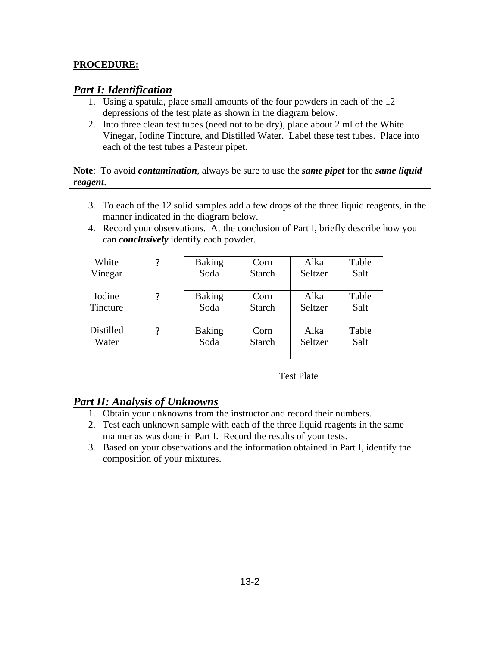### **PROCEDURE:**

## *Part I: Identification*

- 1. Using a spatula, place small amounts of the four powders in each of the 12 depressions of the test plate as shown in the diagram below.
- 2. Into three clean test tubes (need not to be dry), place about 2 ml of the White Vinegar, Iodine Tincture, and Distilled Water. Label these test tubes. Place into each of the test tubes a Pasteur pipet.

**Note**: To avoid *contamination*, always be sure to use the *same pipet* for the *same liquid reagent*.

- 3. To each of the 12 solid samples add a few drops of the three liquid reagents, in the manner indicated in the diagram below.
- 4. Record your observations. At the conclusion of Part I, briefly describe how you can *conclusively* identify each powder.

| White     | $\overline{\mathcal{L}}$ | <b>Baking</b> | Corn          | Alka    | Table |
|-----------|--------------------------|---------------|---------------|---------|-------|
| Vinegar   |                          | Soda          | <b>Starch</b> | Seltzer | Salt  |
| Iodine    | ?                        | <b>Baking</b> | Corn          | Alka    | Table |
| Tincture  |                          | Soda          | <b>Starch</b> | Seltzer | Salt  |
| Distilled | 7                        | <b>Baking</b> | Corn          | Alka    | Table |
| Water     |                          | Soda          | <b>Starch</b> | Seltzer | Salt  |

Test Plate

## *Part II: Analysis of Unknowns*

- 1. Obtain your unknowns from the instructor and record their numbers.
- 2. Test each unknown sample with each of the three liquid reagents in the same manner as was done in Part I. Record the results of your tests.
- 3. Based on your observations and the information obtained in Part I, identify the composition of your mixtures.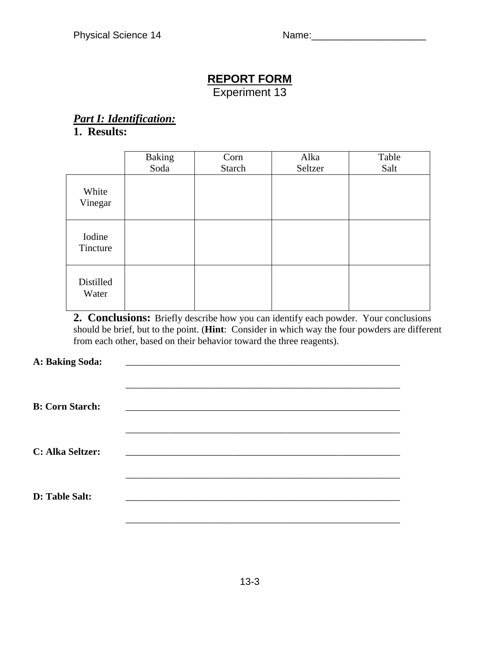# **REPORT FORM**

Experiment 13

# *Part I: Identification:*

# **1. Results:**

|                    | <b>Baking</b> | Corn   | Alka    | Table |
|--------------------|---------------|--------|---------|-------|
|                    | Soda          | Starch | Seltzer | Salt  |
| White<br>Vinegar   |               |        |         |       |
| Iodine<br>Tincture |               |        |         |       |
| Distilled<br>Water |               |        |         |       |

**2. Conclusions:** Briefly describe how you can identify each powder. Your conclusions should be brief, but to the point. (**Hint**: Consider in which way the four powders are different from each other, based on their behavior toward the three reagents).

### A: Baking Soda:

| <b>B: Corn Starch:</b> |  |  |
|------------------------|--|--|
| C: Alka Seltzer:       |  |  |
| D: Table Salt:         |  |  |